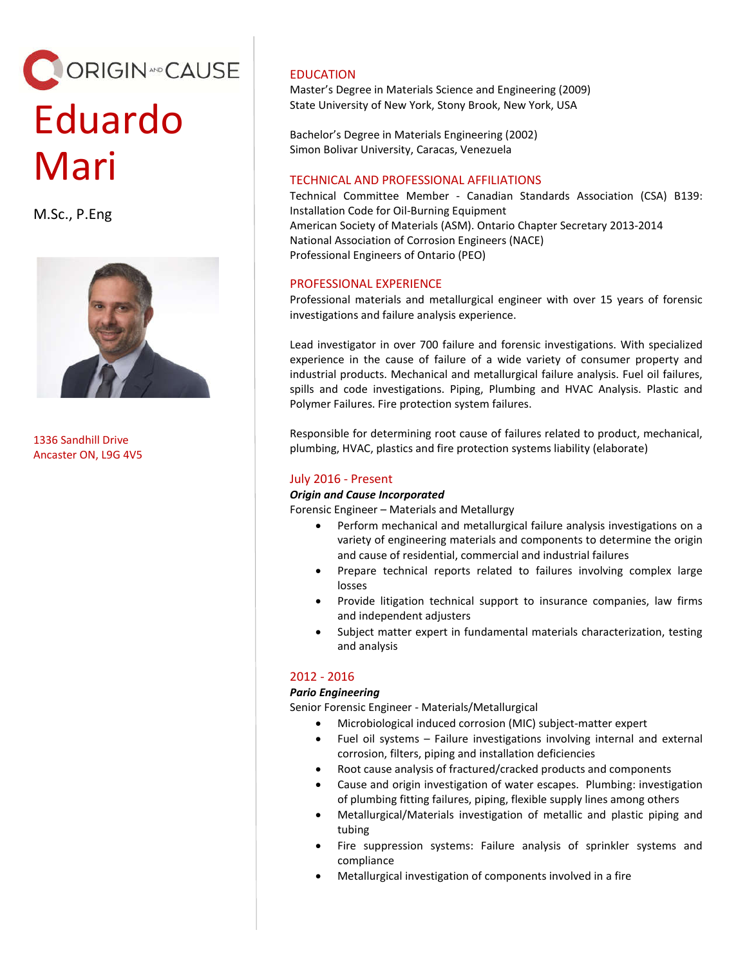# ORIGIN<sup>4ND</sup> CAUSE Eduardo Mari

M.Sc., P.Eng



1336 Sandhill Drive Ancaster ON, L9G 4V5

# EDUCATION

Master's Degree in Materials Science and Engineering (2009) State University of New York, Stony Brook, New York, USA

Bachelor's Degree in Materials Engineering (2002) Simon Bolivar University, Caracas, Venezuela

## TECHNICAL AND PROFESSIONAL AFFILIATIONS

Technical Committee Member - Canadian Standards Association (CSA) B139: Installation Code for Oil-Burning Equipment American Society of Materials (ASM). Ontario Chapter Secretary 2013-2014 National Association of Corrosion Engineers (NACE) Professional Engineers of Ontario (PEO)

# PROFESSIONAL EXPERIENCE

Professional materials and metallurgical engineer with over 15 years of forensic investigations and failure analysis experience.

Lead investigator in over 700 failure and forensic investigations. With specialized experience in the cause of failure of a wide variety of consumer property and industrial products. Mechanical and metallurgical failure analysis. Fuel oil failures, spills and code investigations. Piping, Plumbing and HVAC Analysis. Plastic and Polymer Failures. Fire protection system failures.

Responsible for determining root cause of failures related to product, mechanical, plumbing, HVAC, plastics and fire protection systems liability (elaborate)

# July 2016 - Present

### *Origin and Cause Incorporated*

Forensic Engineer – Materials and Metallurgy

- Perform mechanical and metallurgical failure analysis investigations on a variety of engineering materials and components to determine the origin and cause of residential, commercial and industrial failures
- Prepare technical reports related to failures involving complex large losses
- Provide litigation technical support to insurance companies, law firms and independent adjusters
- Subject matter expert in fundamental materials characterization, testing and analysis

## 2012 - 2016

## *Pario Engineering*

Senior Forensic Engineer - Materials/Metallurgical

- Microbiological induced corrosion (MIC) subject-matter expert
- Fuel oil systems Failure investigations involving internal and external corrosion, filters, piping and installation deficiencies
- Root cause analysis of fractured/cracked products and components
- Cause and origin investigation of water escapes. Plumbing: investigation of plumbing fitting failures, piping, flexible supply lines among others
- Metallurgical/Materials investigation of metallic and plastic piping and tubing
- Fire suppression systems: Failure analysis of sprinkler systems and compliance
- Metallurgical investigation of components involved in a fire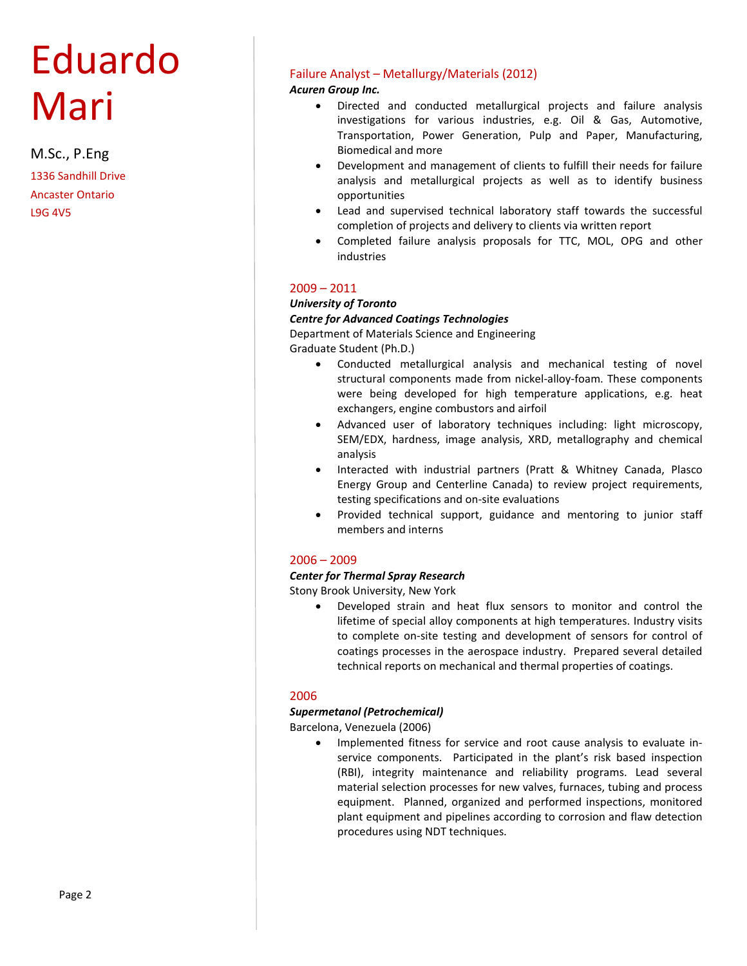# Eduardo Mari

M.Sc., P.Eng 1336 Sandhill Drive Ancaster Ontario L9G 4V5

## Failure Analyst – Metallurgy/Materials (2012)

*Acuren Group Inc.*

- Directed and conducted metallurgical projects and failure analysis investigations for various industries, e.g. Oil & Gas, Automotive, Transportation, Power Generation, Pulp and Paper, Manufacturing, Biomedical and more
- Development and management of clients to fulfill their needs for failure analysis and metallurgical projects as well as to identify business opportunities
- Lead and supervised technical laboratory staff towards the successful completion of projects and delivery to clients via written report
- Completed failure analysis proposals for TTC, MOL, OPG and other industries

## 2009 – 2011

#### *University of Toronto*

#### *Centre for Advanced Coatings Technologies*

Department of Materials Science and Engineering Graduate Student (Ph.D.)

- Conducted metallurgical analysis and mechanical testing of novel structural components made from nickel-alloy-foam. These components were being developed for high temperature applications, e.g. heat exchangers, engine combustors and airfoil
- Advanced user of laboratory techniques including: light microscopy, SEM/EDX, hardness, image analysis, XRD, metallography and chemical analysis
- Interacted with industrial partners (Pratt & Whitney Canada, Plasco Energy Group and Centerline Canada) to review project requirements, testing specifications and on-site evaluations
- Provided technical support, guidance and mentoring to junior staff members and interns

## 2006 – 2009

### *Center for Thermal Spray Research*

Stony Brook University, New York

 Developed strain and heat flux sensors to monitor and control the lifetime of special alloy components at high temperatures. Industry visits to complete on-site testing and development of sensors for control of coatings processes in the aerospace industry. Prepared several detailed technical reports on mechanical and thermal properties of coatings.

## 2006

## *Supermetanol (Petrochemical)*

Barcelona, Venezuela (2006)

• Implemented fitness for service and root cause analysis to evaluate inservice components. Participated in the plant's risk based inspection (RBI), integrity maintenance and reliability programs. Lead several material selection processes for new valves, furnaces, tubing and process equipment. Planned, organized and performed inspections, monitored plant equipment and pipelines according to corrosion and flaw detection procedures using NDT techniques.